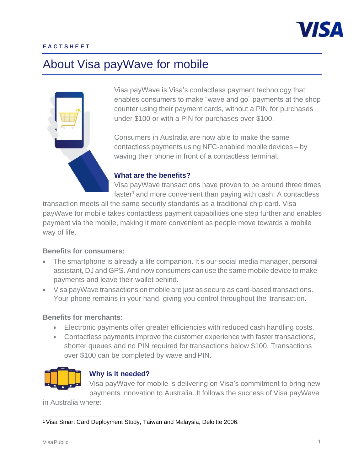

#### **F A C T S H E E T**

# About Visa payWave for mobile



Visa payWave is Visa's contactless payment technology that enables consumers to make "wave and go" payments at the shop counter using their payment cards, without a PIN for purchases under \$100 or with a PIN for purchases over \$100.

Consumers in Australia are now able to make the same contactless payments using NFC-enabled mobile devices – by waving their phone in front of a contactless terminal.

#### **What are the benefits?**

Visa payWave transactions have proven to be around three times faster<sup>1</sup> and more convenient than paying with cash. A contactless

transaction meets all the same security standards as a traditional chip card. Visa payWave for mobile takes contactless payment capabilities one step further and enables payment via the mobile, making it more convenient as people move towards a mobile way of life.

#### **Benefits for consumers:**

- The smartphone is already a life companion. It's our social media manager, personal assistant, DJ and GPS. And now consumers can use the same mobile device to make payments and leave their wallet behind.
- Visa payWave transactions on mobile are just as secure as card-based transactions. Your phone remains in your hand, giving you control throughout the transaction.

#### **Benefits for merchants:**

- Electronic payments offer greater efficiencies with reduced cash handling costs.
- Contactless payments improve the customer experience with faster transactions, shorter queues and no PIN required for transactions below \$100. Transactions over \$100 can be completed by wave and PIN.



## **Why is it needed?**

Visa payWave for mobile is delivering on Visa's commitment to bring new payments innovation to Australia. It follows the success of Visa payWave

in Australia where:

<sup>1</sup> Visa Smart Card Deployment Study, Taiwan and Malaysia, Deloitte 2006.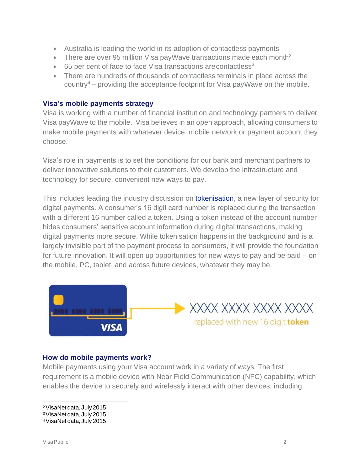- Australia is leading the world in its adoption of contactless payments
- There are over 95 million Visa payWave transactions made each month<sup>2</sup>
- $\bullet$  65 per cent of face to face Visa transactions are contactless<sup>3</sup>
- There are hundreds of thousands of contactless terminals in place across the country<sup>4</sup> – providing the acceptance footprint for Visa pay Wave on the mobile.

## **Visa's mobile payments strategy**

Visa is working with a number of financial institution and technology partners to deliver Visa payWave to the mobile. Visa believes in an open approach, allowing consumers to make mobile payments with whatever device, mobile network or payment account they choose.

Visa's role in payments is to set the conditions for our bank and merchant partners to deliver innovative solutions to their customers. We develop the infrastructure and technology for secure, convenient new ways to pay.

This includes leading the industry discussion on **tokenisation**, a new layer of security for digital payments. A consumer's 16 digit card number is replaced during the transaction with a different 16 number called a token. Using a token instead of the account number hides consumers' sensitive account information during digital transactions, making digital payments more secure. While tokenisation happens in the background and is a largely invisible part of the payment process to consumers, it will provide the foundation for future innovation. It will open up opportunities for new ways to pay and be paid – on the mobile, PC, tablet, and across future devices, whatever they may be.



## **How do mobile payments work?**

Mobile payments using your Visa account work in a variety of ways. The first requirement is a mobile device with Near Field Communication (NFC) capability, which enables the device to securely and wirelessly interact with other devices, including

<sup>2</sup>VisaNetdata,July2015

<sup>&</sup>lt;sup>3</sup> VisaNet data, July 2015

<sup>4</sup>VisaNetdata,July2015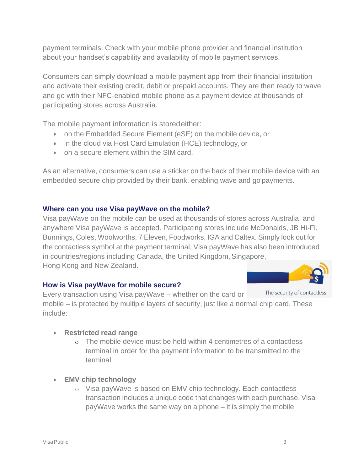payment terminals. Check with your mobile phone provider and financial institution about your handset's capability and availability of mobile payment services.

Consumers can simply download a mobile payment app from their financial institution and activate their existing credit, debit or prepaid accounts. They are then ready to wave and go with their NFC-enabled mobile phone as a payment device at thousands of participating stores across Australia.

The mobile payment information is storedeither:

- on the Embedded Secure Element (eSE) on the mobile device, or
- in the cloud via Host Card Emulation (HCE) technology, or
- on a secure element within the SIM card.

As an alternative, consumers can use a sticker on the back of their mobile device with an embedded secure chip provided by their bank, enabling wave and go payments.

## **Where can you use Visa payWave on the mobile?**

Visa payWave on the mobile can be used at thousands of stores across Australia, and anywhere Visa payWave is accepted. Participating stores include McDonalds, JB Hi-Fi, Bunnings, Coles, Woolworths, 7 Eleven, Foodworks, IGA and Caltex. Simply look out for the contactless symbol at the payment terminal. Visa payWave has also been introduced in countries/regions including Canada, the United Kingdom, Singapore, Hong Kong and New Zealand.

# **How is Visa payWave for mobile secure?**



The security of contactless Every transaction using Visa payWave – whether on the card or mobile – is protected by multiple layers of security, just like a normal chip card. These include:

## • **Restricted read range**

- o The mobile device must be held within 4 centimetres of a contactless terminal in order for the payment information to be transmitted to the terminal.
- **EMV chip technology**
	- o Visa payWave is based on EMV chip technology. Each contactless transaction includes a unique code that changes with each purchase. Visa payWave works the same way on a phone – it is simply the mobile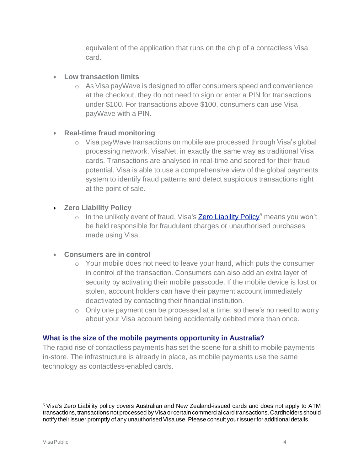equivalent of the application that runs on the chip of a contactless Visa card.

# • **Low transaction limits**

o As Visa payWave is designed to offer consumers speed and convenience at the checkout, they do not need to sign or enter a PIN for transactions under \$100. For transactions above \$100, consumers can use Visa payWave with a PIN.

# • **Real-time fraud monitoring**

o Visa payWave transactions on mobile are processed through Visa's global processing network, VisaNet, in exactly the same way as traditional Visa cards. Transactions are analysed in real-time and scored for their fraud potential. Visa is able to use a comprehensive view of the global payments system to identify fraud patterns and detect suspicious transactions right at the point of sale.

# • **Zero Liability Policy**

o In the unlikely event of fraud, Visa's **Zero [Liability](http://visa.com.au/personal/security/zeroliability.shtml) Policy<sup>5</sup>** means you won't be held responsible for fraudulent charges or unauthorised purchases made using Visa.

# • **Consumers are in control**

- o Your mobile does not need to leave your hand, which puts the consumer in control of the transaction. Consumers can also add an extra layer of security by activating their mobile passcode. If the mobile device is lost or stolen, account holders can have their payment account immediately deactivated by contacting their financial institution.
- o Only one payment can be processed at a time, so there's no need to worry about your Visa account being accidentally debited more than once.

# **What is the size of the mobile payments opportunity in Australia?**

The rapid rise of contactless payments has set the scene for a shift to mobile payments in-store. The infrastructure is already in place, as mobile payments use the same technology as contactless-enabled cards.

<sup>5</sup>Visa's Zero Liability policy covers Australian and New Zealand-issued cards and does not apply to ATM transactions, transactions not processed by Visa or certain commercial card transactions. Cardholders should notify their issuer promptly of any unauthorised Visa use. Please consult your issuer for additional details.